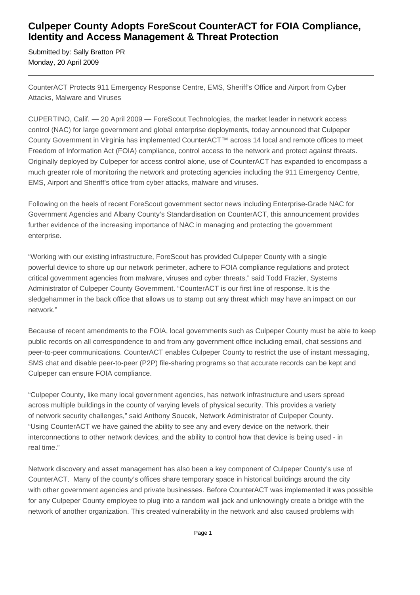## **Culpeper County Adopts ForeScout CounterACT for FOIA Compliance, Identity and Access Management & Threat Protection**

Submitted by: Sally Bratton PR Monday, 20 April 2009

CounterACT Protects 911 Emergency Response Centre, EMS, Sheriff's Office and Airport from Cyber Attacks, Malware and Viruses

CUPERTINO, Calif. — 20 April 2009 — ForeScout Technologies, the market leader in network access control (NAC) for large government and global enterprise deployments, today announced that Culpeper County Government in Virginia has implemented CounterACT™ across 14 local and remote offices to meet Freedom of Information Act (FOIA) compliance, control access to the network and protect against threats. Originally deployed by Culpeper for access control alone, use of CounterACT has expanded to encompass a much greater role of monitoring the network and protecting agencies including the 911 Emergency Centre, EMS, Airport and Sheriff's office from cyber attacks, malware and viruses.

Following on the heels of recent ForeScout government sector news including Enterprise-Grade NAC for Government Agencies and Albany County's Standardisation on CounterACT, this announcement provides further evidence of the increasing importance of NAC in managing and protecting the government enterprise.

"Working with our existing infrastructure, ForeScout has provided Culpeper County with a single powerful device to shore up our network perimeter, adhere to FOIA compliance regulations and protect critical government agencies from malware, viruses and cyber threats," said Todd Frazier, Systems Administrator of Culpeper County Government. "CounterACT is our first line of response. It is the sledgehammer in the back office that allows us to stamp out any threat which may have an impact on our network."

Because of recent amendments to the FOIA, local governments such as Culpeper County must be able to keep public records on all correspondence to and from any government office including email, chat sessions and peer-to-peer communications. CounterACT enables Culpeper County to restrict the use of instant messaging, SMS chat and disable peer-to-peer (P2P) file-sharing programs so that accurate records can be kept and Culpeper can ensure FOIA compliance.

"Culpeper County, like many local government agencies, has network infrastructure and users spread across multiple buildings in the county of varying levels of physical security. This provides a variety of network security challenges," said Anthony Soucek, Network Administrator of Culpeper County. "Using CounterACT we have gained the ability to see any and every device on the network, their interconnections to other network devices, and the ability to control how that device is being used - in real time."

Network discovery and asset management has also been a key component of Culpeper County's use of CounterACT. Many of the county's offices share temporary space in historical buildings around the city with other government agencies and private businesses. Before CounterACT was implemented it was possible for any Culpeper County employee to plug into a random wall jack and unknowingly create a bridge with the network of another organization. This created vulnerability in the network and also caused problems with